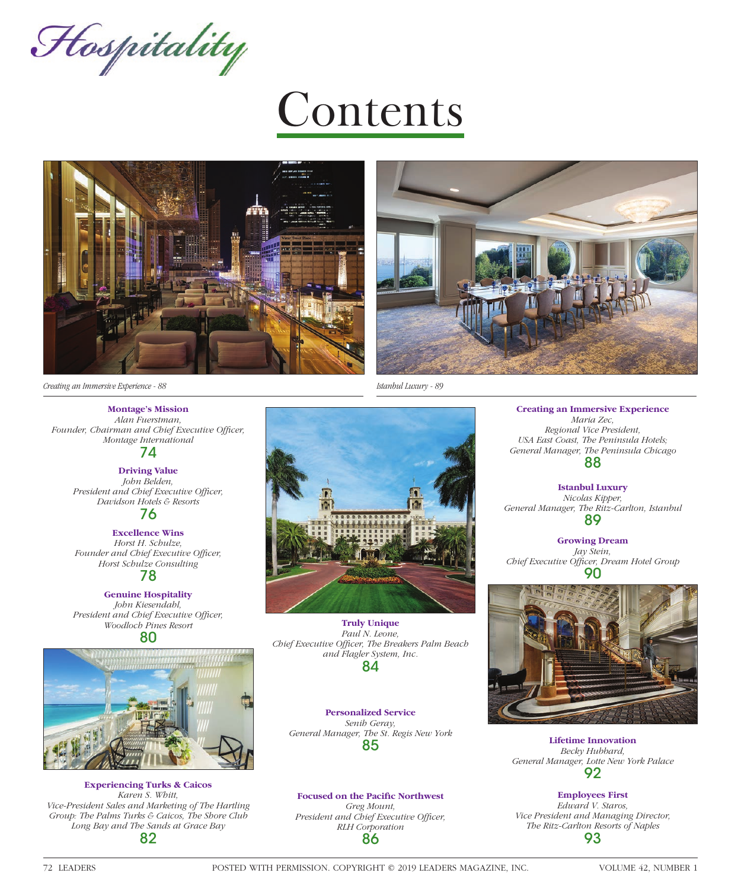Hospitality

# Contents





*Creating an Immersive Experience - 88 Istanbul Luxury - 89*

**Montage's Mission** *Alan Fuerstman,*

Founder, Chairman and Chief Executive Officer, *Montage International* 74

> **Driving Value** *John Belden,*  **President and Chief Executive Officer,** *Davidson Hotels & Resorts*

76 **Excellence Wins**

*Horst H. Schulze,*  Founder and Chief Executive Officer, *Horst Schulze Consulting*

78

**Genuine Hospitality** *John Kiesendahl,*  President and Chief Executive Officer, *Woodloch Pines Resort* 80



**Experiencing Turks & Caicos** *Karen S. Whitt, Vice-President Sales and Marketing of The Hartling Group: The Palms Turks & Caicos, The Shore Club Long Bay and The Sands at Grace Bay* 82

**Truly Unique** *Paul N. Leone, Chief Executive Officer, The Breakers Palm Beach and Flagler System, Inc.* 84

**Personalized Service** *Senih Geray, General Manager, The St. Regis New York* 85

**Focused on the Pacific Northwest** *Greg Mount, President and Chief Executive Officer, RLH Corporation* 86

**Creating an Immersive Experience** *Maria Zec, Regional Vice President, USA East Coast, The Peninsula Hotels; General Manager, The Peninsula Chicago* 88

**Istanbul Luxury** *Nicolas Kipper, General Manager, The Ritz-Carlton, Istanbul* 89

**Growing Dream** *Jay Stein, Chief Executive Offi cer, Dream Hotel Group* 90



**Lifetime Innovation** *Becky Hubbard, General Manager, Lotte New York Palace* 92

**Employees First** *Edward V. Staros, Vice President and Managing Director, The Ritz-Carlton Resorts of Naples* 93